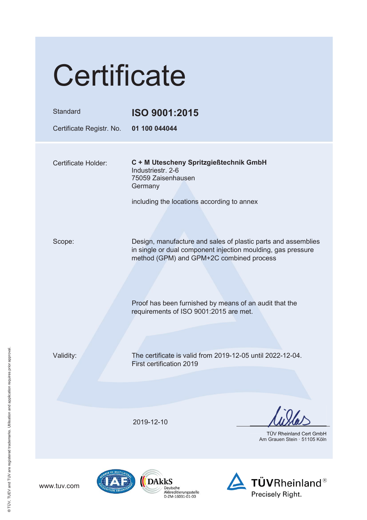|                                                                                                    | Certificate                          |  |                                                                                                                                                                                                                                                                                                                         |  |                                                                |  |
|----------------------------------------------------------------------------------------------------|--------------------------------------|--|-------------------------------------------------------------------------------------------------------------------------------------------------------------------------------------------------------------------------------------------------------------------------------------------------------------------------|--|----------------------------------------------------------------|--|
|                                                                                                    | Standard<br>Certificate Registr. No. |  | ISO 9001:2015<br>01 100 044044                                                                                                                                                                                                                                                                                          |  |                                                                |  |
| ® TÜV, TUEV and TUV are registered trademarks. Utilisation and application requires prior approval | Certificate Holder:                  |  | C + M Utescheny Spritzgießtechnik GmbH<br>Industriestr. 2-6<br>75059 Zaisenhausen<br>Germany<br>including the locations according to annex<br>Design, manufacture and sales of plastic parts and assemblies<br>in single or dual component injection moulding, gas pressure<br>method (GPM) and GPM+2C combined process |  |                                                                |  |
|                                                                                                    | Scope:                               |  |                                                                                                                                                                                                                                                                                                                         |  |                                                                |  |
|                                                                                                    |                                      |  | Proof has been furnished by means of an audit that the<br>requirements of ISO 9001:2015 are met.                                                                                                                                                                                                                        |  |                                                                |  |
|                                                                                                    | Validity:                            |  | The certificate is valid from 2019-12-05 until 2022-12-04.<br>First certification 2019                                                                                                                                                                                                                                  |  |                                                                |  |
|                                                                                                    |                                      |  | 2019-12-10                                                                                                                                                                                                                                                                                                              |  | <b>TÜV Rheinland Cert GmbH</b><br>Am Grauen Stein · 51105 Köln |  |
|                                                                                                    | www.tuv.com                          |  | DAkkS<br>Deutsche<br>Akkreditierungsstelle<br>D-ZM-16031-01-00                                                                                                                                                                                                                                                          |  | <b>TÜVRheinland®</b><br>Precisely Right.                       |  |